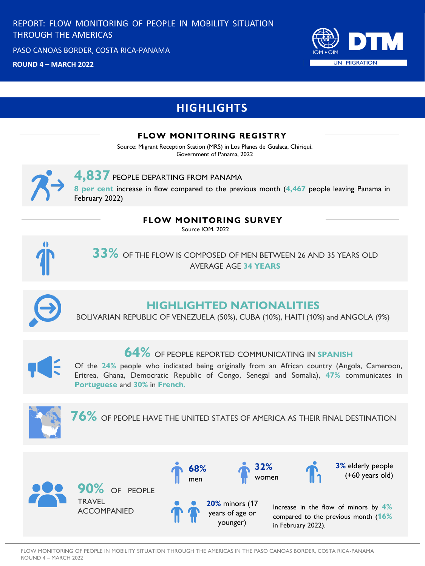PASO CANOAS BORDER, COSTA RICA-PANAMA

**RONDA 4 – MARZO, 2022 ROUND 4 – MARCH 2022**



# **HIGHLIGHTS**

### **FLOW MONITORING REGISTRY**

Source: Migrant Reception Station (MRS) in Los Planes de Gualaca, Chiriquí. Government of Panama, 2022



### **4,837** PEOPLE DEPARTING FROM PANAMA

**8 per cent** increase in flow compared to the previous month (**4,467** people leaving Panama in February 2022)

### **FLOW MONITORING SURVEY**

Source IOM, 2022



### **33%** OF THE FLOW IS COMPOSED OF MEN BETWEEN 26 AND 35 YEARS OLD AVERAGE AGE **34 YEARS**



### **HIGHLIGHTED NATIONALITIES**

BOLIVARIAN REPUBLIC OF VENEZUELA (50%), CUBA (10%), HAITI (10%) and ANGOLA (9%)



## **64%** OF PEOPLE REPORTED COMMUNICATING IN **SPANISH**

Of the **24%** people who indicated being originally from an African country (Angola, Cameroon, Eritrea, Ghana, Democratic Republic of Congo, Senegal and Somalia), **47%** communicates in **Portuguese** and **30%** in **French.**



**76%** OF PEOPLE HAVE THE UNITED STATES OF AMERICA AS THEIR FINAL DESTINATION

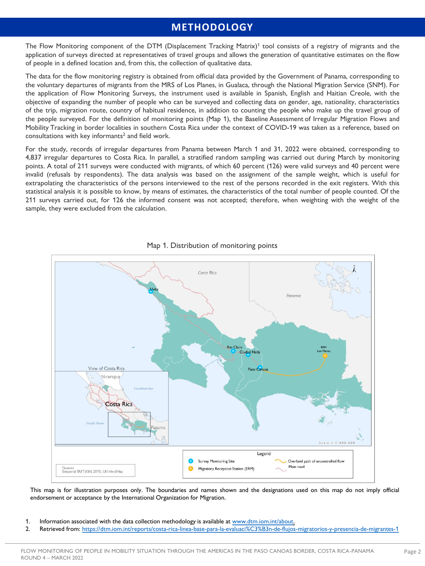### **METHODOLOGY**

The Flow Monitoring component of the DTM (Displacement Tracking Matrix)<sup>1</sup> tool consists of a registry of migrants and the application of surveys directed at representatives of travel groups and allows the generation of quantitative estimates on the flow of people in a defined location and, from this, the collection of qualitative data.

The data for the flow monitoring registry is obtained from official data provided by the Government of Panama, corresponding to the voluntary departures of migrants from the MRS of Los Planes, in Gualaca, through the National Migration Service (SNM). For the application of Flow Monitoring Surveys, the instrument used is available in Spanish, English and Haitian Creole, with the objective of expanding the number of people who can be surveyed and collecting data on gender, age, nationality, characteristics of the trip, migration route, country of habitual residence, in addition to counting the people who make up the travel group of the people surveyed. For the definition of monitoring points (Map 1), the Baseline Assessment of Irregular Migration Flows and Mobility Tracking in border localities in southern Costa Rica under the context of COVID-19 was taken as a reference, based on consultations with key informants<sup>2</sup> and field work.

For the study, records of irregular departures from Panama between March 1 and 31, 2022 were obtained, corresponding to 4,837 irregular departures to Costa Rica. In parallel, a stratified random sampling was carried out during March by monitoring points. A total of 211 surveys were conducted with migrants, of which 60 percent (126) were valid surveys and 40 percent were invalid (refusals by respondents). The data analysis was based on the assignment of the sample weight, which is useful for extrapolating the characteristics of the persons interviewed to the rest of the persons recorded in the exit registers. With this statistical analysis it is possible to know, by means of estimates, the characteristics of the total number of people counted. Of the 211 surveys carried out, for 126 the informed consent was not accepted; therefore, when weighting with the weight of the sample, they were excluded from the calculation.



#### Map 1. Distribution of monitoring points

This map is for illustration purposes only. The boundaries and names shown and the designations used on this map do not imply official endorsement or acceptance by the International Organization for Migration.

- 1. Information associated with the data collection methodology is available at [www.dtm.iom.int/about.](http://www.dtm.iom.int/about)
- 2. Retrieved from: <https://dtm.iom.int/reports/costa-rica-linea-base-para-la-evaluaci%C3%B3n-de-flujos-migratorios-y-presencia-de-migrantes-1>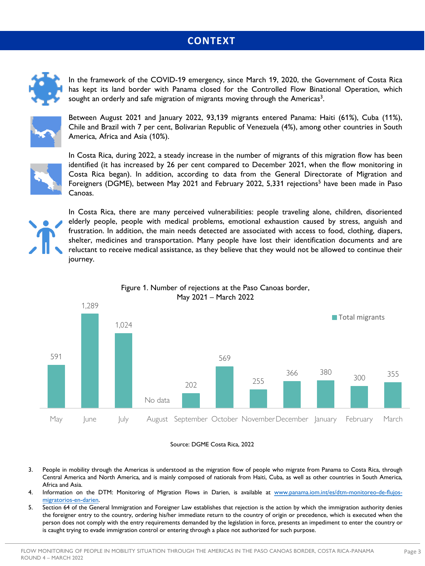### **CONTEXT**



In the framework of the COVID-19 emergency, since March 19, 2020, the Government of Costa Rica has kept its land border with Panama closed for the Controlled Flow Binational Operation, which sought an orderly and safe migration of migrants moving through the Americas<sup>3</sup>.



Between August 2021 and January 2022, 93,139 migrants entered Panama: Haiti (61%), Cuba (11%), Chile and Brazil with 7 per cent, Bolivarian Republic of Venezuela (4%), among other countries in South America, Africa and Asia (10%).



In Costa Rica, during 2022, a steady increase in the number of migrants of this migration flow has been identified (it has increased by 26 per cent compared to December 2021, when the flow monitoring in Costa Rica began). In addition, according to data from the General Directorate of Migration and Foreigners (DGME), between May 2021 and February 2022, 5,331 rejections<sup>5</sup> have been made in Paso Canoas.



In Costa Rica, there are many perceived vulnerabilities: people traveling alone, children, disoriented elderly people, people with medical problems, emotional exhaustion caused by stress, anguish and frustration. In addition, the main needs detected are associated with access to food, clothing, diapers, shelter, medicines and transportation. Many people have lost their identification documents and are reluctant to receive medical assistance, as they believe that they would not be allowed to continue their journey.





#### Source: DGME Costa Rica, 2022

- 3. People in mobility through the Americas is understood as the migration flow of people who migrate from Panama to Costa Rica, through Central America and North America, and is mainly composed of nationals from Haiti, Cuba, as well as other countries in South America, Africa and Asia.
- 4. Information on the DTM: Monitoring of Migration Flows in Darien, is available at [www.panama.iom.int/es/dtm-monitoreo-de-flujos](http://www.panama.iom.int/es/dtm-monitoreo-de-flujos-migratorios-en-darien)migratorios-en-darien.
- 5. Section 64 of the General Immigration and Foreigner Law establishes that rejection is the action by which the immigration authority denies the foreigner entry to the country, ordering his/her immediate return to the country of origin or precedence, which is executed when the person does not comply with the entry requirements demanded by the legislation in force, presents an impediment to enter the country or is caught trying to evade immigration control or entering through a place not authorized for such purpose.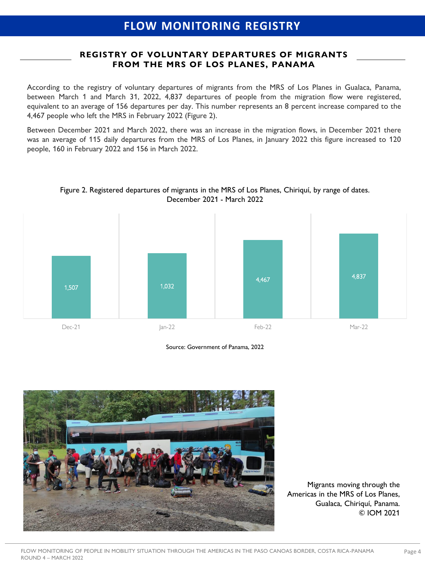#### **REGISTRY OF VOLUNTARY DEPARTURES OF MIGRANTS FROM THE MRS OF LOS PLANES, PANAMA**

According to the registry of voluntary departures of migrants from the MRS of Los Planes in Gualaca, Panama, between March 1 and March 31, 2022, 4,837 departures of people from the migration flow were registered, equivalent to an average of 156 departures per day. This number represents an 8 percent increase compared to the 4,467 people who left the MRS in February 2022 (Figure 2).

Between December 2021 and March 2022, there was an increase in the migration flows, in December 2021 there was an average of 115 daily departures from the MRS of Los Planes, in January 2022 this figure increased to 120 people, 160 in February 2022 and 156 in March 2022.



Figure 2. Registered departures of migrants in the MRS of Los Planes, Chiriquí, by range of dates. December 2021 - March 2022

Source: Government of Panama, 2022



Migrants moving through the Americas in the MRS of Los Planes, Gualaca, Chiriquí, Panama. © IOM 2021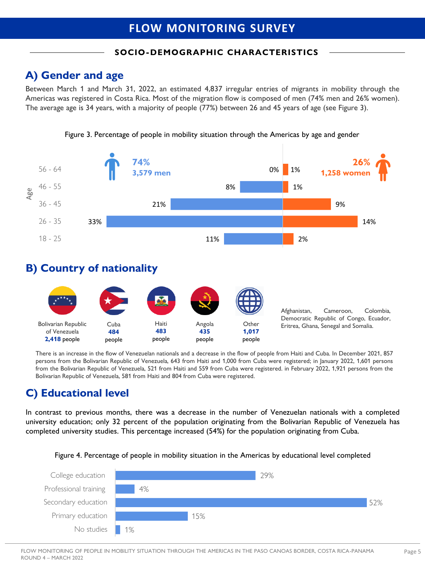## **FLOW MONITORING SURVEY**

### **SOCIO-DEMOGRAPHIC CHARACTERISTICS**

## **A) Gender and age**

Between March 1 and March 31, 2022, an estimated 4,837 irregular entries of migrants in mobility through the Americas was registered in Costa Rica. Most of the migration flow is composed of men (74% men and 26% women). The average age is 34 years, with a majority of people (77%) between 26 and 45 years of age (see Figure 3).



Figure 3. Percentage of people in mobility situation through the Americas by age and gender

### **B) Country of nationality**



There is an increase in the flow of Venezuelan nationals and a decrease in the flow of people from Haiti and Cuba. In December 2021, 857 persons from the Bolivarian Republic of Venezuela, 643 from Haiti and 1,000 from Cuba were registered; in January 2022, 1,601 persons from the Bolivarian Republic of Venezuela, 521 from Haiti and 559 from Cuba were registered. in February 2022, 1,921 persons from the Bolivarian Republic of Venezuela, 581 from Haiti and 804 from Cuba were registered.

## **C) Educational level**

In contrast to previous months, there was a decrease in the number of Venezuelan nationals with a completed university education; only 32 percent of the population originating from the Bolivarian Republic of Venezuela has completed university studies. This percentage increased (54%) for the population originating from Cuba.



Figure 4. Percentage of people in mobility situation in the Americas by educational level completed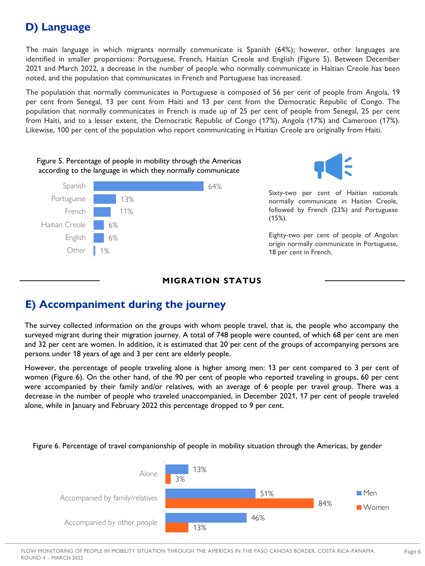# **D) Language**

The main language in which migrants normally communicate is Spanish (64%); however, other languages are identified in smaller proportions: Portuguese, French, Haitian Creole and English (Figure 5). Between December 2021 and March 2022, a decrease in the number of people who normally communicate in Haitian Creole has been noted, and the population that communicates in French and Portuguese has increased.

The population that normally communicates in Portuguese is composed of 56 per cent of people from Angola, 19 per cent from Senegal, 13 per cent from Haiti and 13 per cent from the Democratic Republic of Congo. The population that normally communicates in French is made up of 25 per cent of people from Senegal, 25 per cent from Haiti, and to a lesser extent, the Democratic Republic of Congo (17%), Angola (17%) and Cameroon (17%). Likewise, 100 per cent of the population who report communicating in Haitian Creole are originally from Haiti.







Sixty-two per cent of Haitian nationals normally communicate in Haitian Creole, followed by French (23%) and Portuguese (15%).

Eighty-two per cent of people of Angolan origin normally communicate in Portuguese, 18 per cent in French.

#### **MIGRATION STATUS**

## **E) Accompaniment during the journey**

The survey collected information on the groups with whom people travel, that is, the people who accompany the surveyed migrant during their migration journey. A total of 748 people were counted, of which 68 per cent are men and 32 per cent are women. In addition, it is estimated that 20 per cent of the groups of accompanying persons are persons under 18 years of age and 3 per cent are elderly people.

However, the percentage of people traveling alone is higher among men: 13 per cent compared to 3 per cent of women (Figure 6). On the other hand, of the 90 per cent of people who reported traveling in groups, 60 per cent were accompanied by their family and/or relatives, with an average of 6 people per travel group. There was a decrease in the number of people who traveled unaccompanied, in December 2021, 17 per cent of people traveled alone, while in January and February 2022 this percentage dropped to 9 per cent.



Figure 6. Percentage of travel companionship of people in mobility situation through the Americas, by gender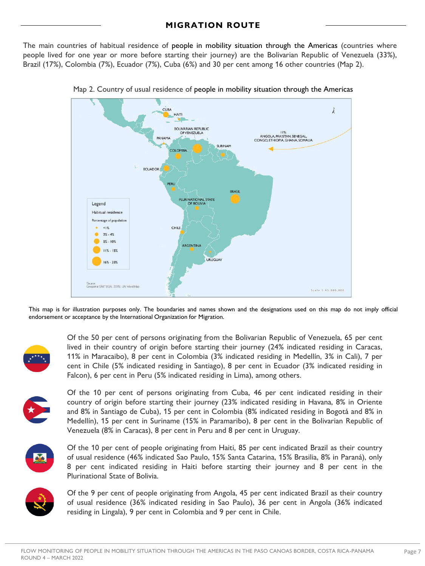#### **MIGRATION ROUTE**

The main countries of habitual residence of people in mobility situation through the Americas (countries where people lived for one year or more before starting their journey) are the Bolivarian Republic of Venezuela (33%), Brazil (17%), Colombia (7%), Ecuador (7%), Cuba (6%) and 30 per cent among 16 other countries (Map 2).





This map is for illustration purposes only. The boundaries and names shown and the designations used on this map do not imply official endorsement or acceptance by the International Organization for Migration.



Of the 50 per cent of persons originating from the Bolivarian Republic of Venezuela, 65 per cent lived in their country of origin before starting their journey (24% indicated residing in Caracas, 11% in Maracaibo), 8 per cent in Colombia (3% indicated residing in Medellín, 3% in Cali), 7 per cent in Chile (5% indicated residing in Santiago), 8 per cent in Ecuador (3% indicated residing in Falcon), 6 per cent in Peru (5% indicated residing in Lima), among others.



Of the 10 per cent of persons originating from Cuba, 46 per cent indicated residing in their country of origin before starting their journey (23% indicated residing in Havana, 8% in Oriente and 8% in Santiago de Cuba), 15 per cent in Colombia (8% indicated residing in Bogotá and 8% in Medellín), 15 per cent in Suriname (15% in Paramaribo), 8 per cent in the Bolivarian Republic of Venezuela (8% in Caracas), 8 per cent in Peru and 8 per cent in Uruguay.



Of the 10 per cent of people originating from Haiti, 85 per cent indicated Brazil as their country of usual residence (46% indicated Sao Paulo, 15% Santa Catarina, 15% Brasilia, 8% in Paraná), only 8 per cent indicated residing in Haiti before starting their journey and 8 per cent in the Plurinational State of Bolivia.



Of the 9 per cent of people originating from Angola, 45 per cent indicated Brazil as their country of usual residence (36% indicated residing in Sao Paulo), 36 per cent in Angola (36% indicated residing in Lingala), 9 per cent in Colombia and 9 per cent in Chile.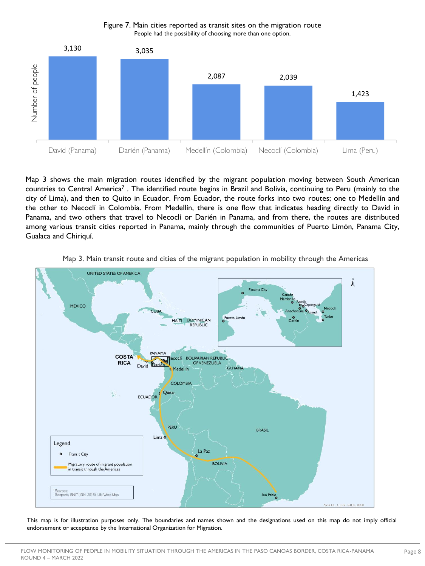

Figure 7. Main cities reported as transit sites on the migration route People had the possibility of choosing more than one option.

Map 3 shows the main migration routes identified by the migrant population moving between South American countries to Central America<sup>7</sup>. The identified route begins in Brazil and Bolivia, continuing to Peru (mainly to the city of Lima), and then to Quito in Ecuador. From Ecuador, the route forks into two routes; one to Medellín and the other to Necoclí in Colombia. From Medellín, there is one flow that indicates heading directly to David in Panama, and two others that travel to Necoclí or Darién in Panama, and from there, the routes are distributed among various transit cities reported in Panama, mainly through the communities of Puerto Limón, Panama City, Gualaca and Chiriquí.



Map 3. Main transit route and cities of the migrant population in mobility through the Americas

This map is for illustration purposes only. The boundaries and names shown and the designations used on this map do not imply official endorsement or acceptance by the International Organization for Migration.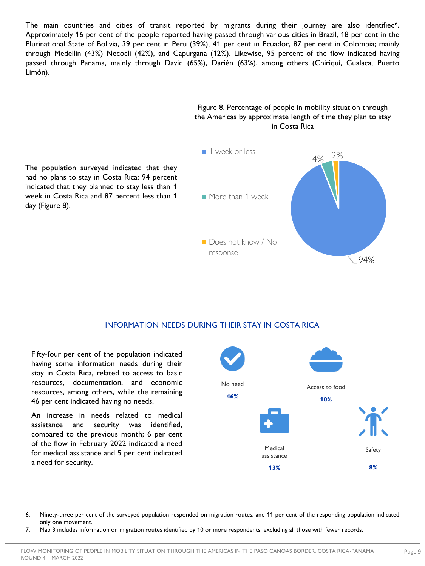The main countries and cities of transit reported by migrants during their journey are also identified<sup>6</sup>. Approximately 16 per cent of the people reported having passed through various cities in Brazil, 18 per cent in the Plurinational State of Bolivia, 39 per cent in Peru (39%), 41 per cent in Ecuador, 87 per cent in Colombia; mainly through Medellín (43%) Necoclí (42%), and Capurgana (12%). Likewise, 95 percent of the flow indicated having passed through Panama, mainly through David (65%), Darién (63%), among others (Chiriquí, Gualaca, Puerto Limón).







#### INFORMATION NEEDS DURING THEIR STAY IN COSTA RICA

Fifty-four per cent of the population indicated having some information needs during their stay in Costa Rica, related to access to basic resources, documentation, and economic resources, among others, while the remaining 46 per cent indicated having no needs.

An increase in needs related to medical assistance and security was identified, compared to the previous month; 6 per cent of the flow in February 2022 indicated a need for medical assistance and 5 per cent indicated a need for security.



- 6. Ninety-three per cent of the surveyed population responded on migration routes, and 11 per cent of the responding population indicated only one movement.
- 7. Map 3 includes information on migration routes identified by 10 or more respondents, excluding all those with fewer records.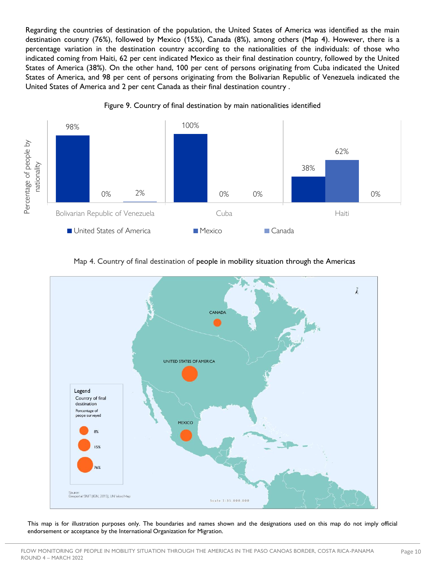Regarding the countries of destination of the population, the United States of America was identified as the main destination country (76%), followed by Mexico (15%), Canada (8%), among others (Map 4). However, there is a percentage variation in the destination country according to the nationalities of the individuals: of those who indicated coming from Haiti, 62 per cent indicated Mexico as their final destination country, followed by the United States of America (38%). On the other hand, 100 per cent of persons originating from Cuba indicated the United States of America, and 98 per cent of persons originating from the Bolivarian Republic of Venezuela indicated the United States of America and 2 per cent Canada as their final destination country .









This map is for illustration purposes only. The boundaries and names shown and the designations used on this map do not imply official endorsement or acceptance by the International Organization for Migration.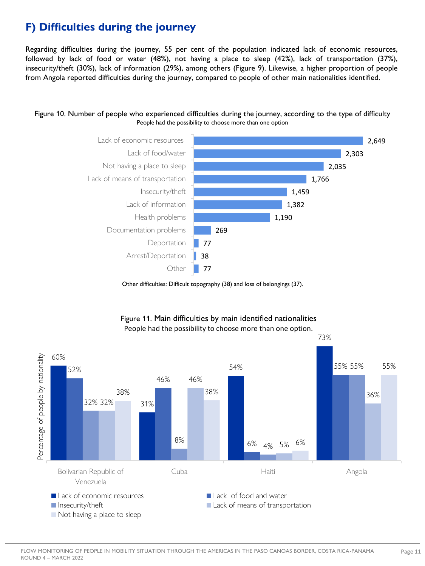# **F) Difficulties during the journey**

Regarding difficulties during the journey, 55 per cent of the population indicated lack of economic resources, followed by lack of food or water (48%), not having a place to sleep (42%), lack of transportation (37%), insecurity/theft (30%), lack of information (29%), among others (Figure 9). Likewise, a higher proportion of people from Angola reported difficulties during the journey, compared to people of other main nationalities identified.





Other difficulties: Difficult topography (38) and loss of belongings (37).



#### Figure 11. Main difficulties by main identified nationalities People had the possibility to choose more than one option.